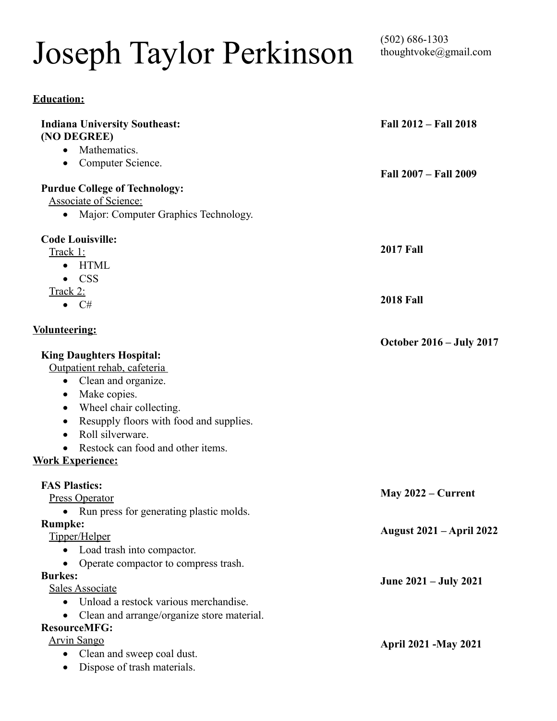# Joseph Taylor Perkinson

(502) 686-1303<br>thoughtvoke@gmail.com

| <b>Education:</b> |  |
|-------------------|--|
|                   |  |

| (NO DEGREE)<br>Mathematics.<br>Computer Science.<br>$\bullet$<br>Fall 2007 - Fall 2009<br><b>Purdue College of Technology:</b><br><b>Associate of Science:</b><br>• Major: Computer Graphics Technology.<br><b>Code Louisville:</b><br><b>2017 Fall</b><br>Track 1:<br><b>HTML</b><br>$\bullet$<br><b>CSS</b><br>$\bullet$<br>Track 2:<br><b>2018 Fall</b><br>$\bullet$ C#<br><b>October 2016 – July 2017</b><br><b>King Daughters Hospital:</b><br>Outpatient rehab, cafeteria<br>Clean and organize.<br>$\bullet$<br>Make copies.<br>$\bullet$<br>Wheel chair collecting.<br>$\bullet$<br>Resupply floors with food and supplies.<br>$\bullet$<br>Roll silverware.<br>$\bullet$<br>Restock can food and other items.<br>$\bullet$<br><b>FAS Plastics:</b><br>May $2022$ – Current<br><b>Press Operator</b><br>Run press for generating plastic molds.<br>$\bullet$<br><b>Rumpke:</b><br><b>August 2021 – April 2022</b><br>Tipper/Helper<br>Load trash into compactor.<br>Operate compactor to compress trash.<br><b>Burkes:</b><br>June 2021 – July 2021<br><b>Sales Associate</b><br>Unload a restock various merchandise.<br>Clean and arrange/organize store material.<br><b>ResourceMFG:</b><br><b>Arvin Sango</b><br><b>April 2021 -May 2021</b><br>Clean and sweep coal dust.<br>$\bullet$<br>$\bullet$ | <b>Indiana University Southeast:</b> | Fall 2012 – Fall 2018 |
|------------------------------------------------------------------------------------------------------------------------------------------------------------------------------------------------------------------------------------------------------------------------------------------------------------------------------------------------------------------------------------------------------------------------------------------------------------------------------------------------------------------------------------------------------------------------------------------------------------------------------------------------------------------------------------------------------------------------------------------------------------------------------------------------------------------------------------------------------------------------------------------------------------------------------------------------------------------------------------------------------------------------------------------------------------------------------------------------------------------------------------------------------------------------------------------------------------------------------------------------------------------------------------------------------------------|--------------------------------------|-----------------------|
|                                                                                                                                                                                                                                                                                                                                                                                                                                                                                                                                                                                                                                                                                                                                                                                                                                                                                                                                                                                                                                                                                                                                                                                                                                                                                                                  |                                      |                       |
|                                                                                                                                                                                                                                                                                                                                                                                                                                                                                                                                                                                                                                                                                                                                                                                                                                                                                                                                                                                                                                                                                                                                                                                                                                                                                                                  |                                      |                       |
|                                                                                                                                                                                                                                                                                                                                                                                                                                                                                                                                                                                                                                                                                                                                                                                                                                                                                                                                                                                                                                                                                                                                                                                                                                                                                                                  |                                      |                       |
|                                                                                                                                                                                                                                                                                                                                                                                                                                                                                                                                                                                                                                                                                                                                                                                                                                                                                                                                                                                                                                                                                                                                                                                                                                                                                                                  |                                      |                       |
|                                                                                                                                                                                                                                                                                                                                                                                                                                                                                                                                                                                                                                                                                                                                                                                                                                                                                                                                                                                                                                                                                                                                                                                                                                                                                                                  |                                      |                       |
|                                                                                                                                                                                                                                                                                                                                                                                                                                                                                                                                                                                                                                                                                                                                                                                                                                                                                                                                                                                                                                                                                                                                                                                                                                                                                                                  |                                      |                       |
|                                                                                                                                                                                                                                                                                                                                                                                                                                                                                                                                                                                                                                                                                                                                                                                                                                                                                                                                                                                                                                                                                                                                                                                                                                                                                                                  |                                      |                       |
|                                                                                                                                                                                                                                                                                                                                                                                                                                                                                                                                                                                                                                                                                                                                                                                                                                                                                                                                                                                                                                                                                                                                                                                                                                                                                                                  |                                      |                       |
|                                                                                                                                                                                                                                                                                                                                                                                                                                                                                                                                                                                                                                                                                                                                                                                                                                                                                                                                                                                                                                                                                                                                                                                                                                                                                                                  |                                      |                       |
|                                                                                                                                                                                                                                                                                                                                                                                                                                                                                                                                                                                                                                                                                                                                                                                                                                                                                                                                                                                                                                                                                                                                                                                                                                                                                                                  |                                      |                       |
|                                                                                                                                                                                                                                                                                                                                                                                                                                                                                                                                                                                                                                                                                                                                                                                                                                                                                                                                                                                                                                                                                                                                                                                                                                                                                                                  |                                      |                       |
|                                                                                                                                                                                                                                                                                                                                                                                                                                                                                                                                                                                                                                                                                                                                                                                                                                                                                                                                                                                                                                                                                                                                                                                                                                                                                                                  |                                      |                       |
|                                                                                                                                                                                                                                                                                                                                                                                                                                                                                                                                                                                                                                                                                                                                                                                                                                                                                                                                                                                                                                                                                                                                                                                                                                                                                                                  | <b>Volunteering:</b>                 |                       |
|                                                                                                                                                                                                                                                                                                                                                                                                                                                                                                                                                                                                                                                                                                                                                                                                                                                                                                                                                                                                                                                                                                                                                                                                                                                                                                                  |                                      |                       |
|                                                                                                                                                                                                                                                                                                                                                                                                                                                                                                                                                                                                                                                                                                                                                                                                                                                                                                                                                                                                                                                                                                                                                                                                                                                                                                                  |                                      |                       |
|                                                                                                                                                                                                                                                                                                                                                                                                                                                                                                                                                                                                                                                                                                                                                                                                                                                                                                                                                                                                                                                                                                                                                                                                                                                                                                                  |                                      |                       |
|                                                                                                                                                                                                                                                                                                                                                                                                                                                                                                                                                                                                                                                                                                                                                                                                                                                                                                                                                                                                                                                                                                                                                                                                                                                                                                                  |                                      |                       |
|                                                                                                                                                                                                                                                                                                                                                                                                                                                                                                                                                                                                                                                                                                                                                                                                                                                                                                                                                                                                                                                                                                                                                                                                                                                                                                                  |                                      |                       |
|                                                                                                                                                                                                                                                                                                                                                                                                                                                                                                                                                                                                                                                                                                                                                                                                                                                                                                                                                                                                                                                                                                                                                                                                                                                                                                                  |                                      |                       |
|                                                                                                                                                                                                                                                                                                                                                                                                                                                                                                                                                                                                                                                                                                                                                                                                                                                                                                                                                                                                                                                                                                                                                                                                                                                                                                                  |                                      |                       |
|                                                                                                                                                                                                                                                                                                                                                                                                                                                                                                                                                                                                                                                                                                                                                                                                                                                                                                                                                                                                                                                                                                                                                                                                                                                                                                                  |                                      |                       |
|                                                                                                                                                                                                                                                                                                                                                                                                                                                                                                                                                                                                                                                                                                                                                                                                                                                                                                                                                                                                                                                                                                                                                                                                                                                                                                                  | <b>Work Experience:</b>              |                       |
|                                                                                                                                                                                                                                                                                                                                                                                                                                                                                                                                                                                                                                                                                                                                                                                                                                                                                                                                                                                                                                                                                                                                                                                                                                                                                                                  |                                      |                       |
|                                                                                                                                                                                                                                                                                                                                                                                                                                                                                                                                                                                                                                                                                                                                                                                                                                                                                                                                                                                                                                                                                                                                                                                                                                                                                                                  |                                      |                       |
|                                                                                                                                                                                                                                                                                                                                                                                                                                                                                                                                                                                                                                                                                                                                                                                                                                                                                                                                                                                                                                                                                                                                                                                                                                                                                                                  |                                      |                       |
|                                                                                                                                                                                                                                                                                                                                                                                                                                                                                                                                                                                                                                                                                                                                                                                                                                                                                                                                                                                                                                                                                                                                                                                                                                                                                                                  |                                      |                       |
|                                                                                                                                                                                                                                                                                                                                                                                                                                                                                                                                                                                                                                                                                                                                                                                                                                                                                                                                                                                                                                                                                                                                                                                                                                                                                                                  |                                      |                       |
|                                                                                                                                                                                                                                                                                                                                                                                                                                                                                                                                                                                                                                                                                                                                                                                                                                                                                                                                                                                                                                                                                                                                                                                                                                                                                                                  |                                      |                       |
|                                                                                                                                                                                                                                                                                                                                                                                                                                                                                                                                                                                                                                                                                                                                                                                                                                                                                                                                                                                                                                                                                                                                                                                                                                                                                                                  |                                      |                       |
|                                                                                                                                                                                                                                                                                                                                                                                                                                                                                                                                                                                                                                                                                                                                                                                                                                                                                                                                                                                                                                                                                                                                                                                                                                                                                                                  |                                      |                       |
|                                                                                                                                                                                                                                                                                                                                                                                                                                                                                                                                                                                                                                                                                                                                                                                                                                                                                                                                                                                                                                                                                                                                                                                                                                                                                                                  |                                      |                       |
|                                                                                                                                                                                                                                                                                                                                                                                                                                                                                                                                                                                                                                                                                                                                                                                                                                                                                                                                                                                                                                                                                                                                                                                                                                                                                                                  |                                      |                       |
|                                                                                                                                                                                                                                                                                                                                                                                                                                                                                                                                                                                                                                                                                                                                                                                                                                                                                                                                                                                                                                                                                                                                                                                                                                                                                                                  |                                      |                       |
|                                                                                                                                                                                                                                                                                                                                                                                                                                                                                                                                                                                                                                                                                                                                                                                                                                                                                                                                                                                                                                                                                                                                                                                                                                                                                                                  |                                      |                       |
|                                                                                                                                                                                                                                                                                                                                                                                                                                                                                                                                                                                                                                                                                                                                                                                                                                                                                                                                                                                                                                                                                                                                                                                                                                                                                                                  |                                      |                       |
|                                                                                                                                                                                                                                                                                                                                                                                                                                                                                                                                                                                                                                                                                                                                                                                                                                                                                                                                                                                                                                                                                                                                                                                                                                                                                                                  |                                      |                       |
|                                                                                                                                                                                                                                                                                                                                                                                                                                                                                                                                                                                                                                                                                                                                                                                                                                                                                                                                                                                                                                                                                                                                                                                                                                                                                                                  | Dispose of trash materials.          |                       |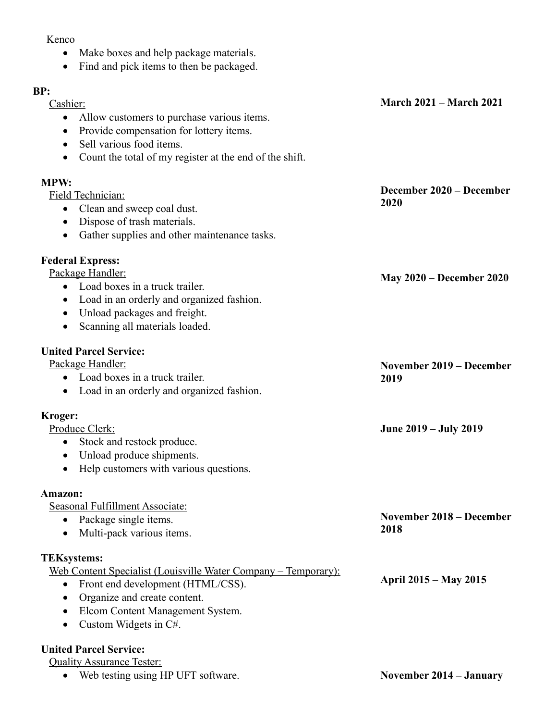## Kenco

- Make boxes and help package materials.
- Find and pick items to then be packaged.

| ۰, |         |
|----|---------|
| ۰, | ×<br>۰. |

| DĽ.<br>Cashier:                                                | <b>March 2021 – March 2021</b>  |
|----------------------------------------------------------------|---------------------------------|
| Allow customers to purchase various items.<br>$\bullet$        |                                 |
| Provide compensation for lottery items.<br>$\bullet$           |                                 |
| Sell various food items.<br>$\bullet$                          |                                 |
| Count the total of my register at the end of the shift.        |                                 |
|                                                                |                                 |
| <b>MPW:</b>                                                    |                                 |
| Field Technician:                                              | December 2020 – December        |
| Clean and sweep coal dust.<br>$\bullet$                        | 2020                            |
| Dispose of trash materials.<br>$\bullet$                       |                                 |
| Gather supplies and other maintenance tasks.                   |                                 |
| <b>Federal Express:</b>                                        |                                 |
| Package Handler:                                               |                                 |
| • Load boxes in a truck trailer.                               | <b>May 2020 – December 2020</b> |
| Load in an orderly and organized fashion.<br>$\bullet$         |                                 |
| Unload packages and freight.<br>$\bullet$                      |                                 |
| Scanning all materials loaded.<br>$\bullet$                    |                                 |
|                                                                |                                 |
| <b>United Parcel Service:</b>                                  |                                 |
| Package Handler:                                               | <b>November 2019 – December</b> |
| Load boxes in a truck trailer.<br>$\bullet$                    | 2019                            |
| Load in an orderly and organized fashion.<br>$\bullet$         |                                 |
| Kroger:                                                        |                                 |
| Produce Clerk:                                                 | June 2019 – July 2019           |
| Stock and restock produce.<br>$\bullet$                        |                                 |
| Unload produce shipments.<br>$\bullet$                         |                                 |
| Help customers with various questions.                         |                                 |
| Amazon:                                                        |                                 |
| Seasonal Fulfillment Associate:                                |                                 |
| Package single items.                                          | <b>November 2018 – December</b> |
| Multi-pack various items.<br>$\bullet$                         | 2018                            |
|                                                                |                                 |
| <b>TEKsystems:</b>                                             |                                 |
| Web Content Specialist (Louisville Water Company - Temporary): | April 2015 – May 2015           |
| Front end development (HTML/CSS).                              |                                 |
| Organize and create content.<br>$\bullet$                      |                                 |
| Elcom Content Management System.                               |                                 |
| Custom Widgets in C#.                                          |                                 |
|                                                                |                                 |

## **United Parcel Service:**

**Quality Assurance Tester:** 

Web testing using HP UFT software.